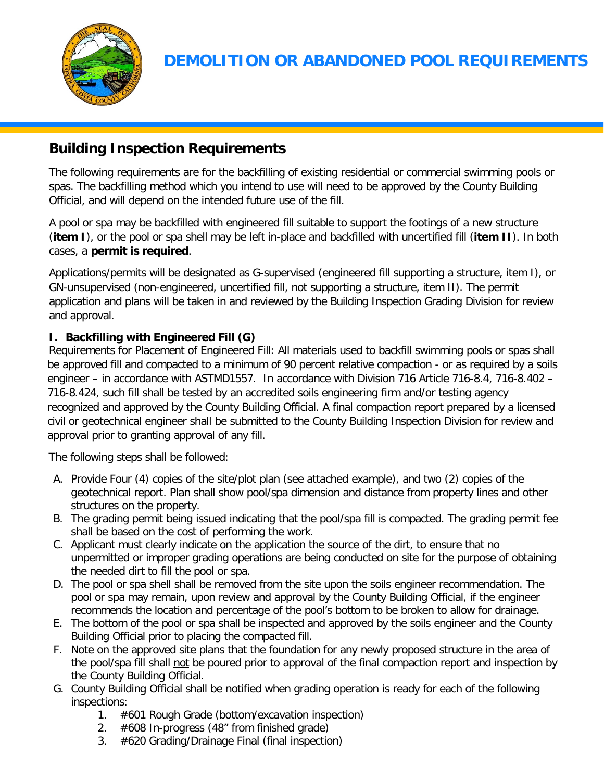

## **Building Inspection Requirements**

The following requirements are for the backfilling of existing residential or commercial swimming pools or spas. The backfilling method which you intend to use will need to be approved by the County Building Official, and will depend on the intended future use of the fill.

A pool or spa may be backfilled with engineered fill suitable to support the footings of a new structure (**item I**), or the pool or spa shell may be left in-place and backfilled with uncertified fill (**item II**). In both cases, a **permit is required**.

Applications/permits will be designated as G-supervised (engineered fill supporting a structure, item I), or GN-unsupervised (non-engineered, uncertified fill, not supporting a structure, item II). The permit application and plans will be taken in and reviewed by the Building Inspection Grading Division for review and approval.

## **I. Backfilling with Engineered Fill (G)**

Requirements for Placement of Engineered Fill: All materials used to backfill swimming pools or spas shall be approved fill and compacted to a minimum of 90 percent relative compaction - or as required by a soils engineer – in accordance with ASTMD1557. In accordance with Division 716 Article 716-8.4, 716-8.402 – 716-8.424, such fill shall be tested by an accredited soils engineering firm and/or testing agency recognized and approved by the County Building Official. A final compaction report prepared by a licensed civil or geotechnical engineer shall be submitted to the County Building Inspection Division for review and approval prior to granting approval of any fill.

The following steps shall be followed:

- A. Provide Four (4) copies of the site/plot plan (see attached example), and two (2) copies of the geotechnical report. Plan shall show pool/spa dimension and distance from property lines and other structures on the property.
- B. The grading permit being issued indicating that the pool/spa fill is compacted. The grading permit fee shall be based on the cost of performing the work.
- C. Applicant must clearly indicate on the application the source of the dirt, to ensure that no unpermitted or improper grading operations are being conducted on site for the purpose of obtaining the needed dirt to fill the pool or spa.
- D. The pool or spa shell shall be removed from the site upon the soils engineer recommendation. The pool or spa may remain, upon review and approval by the County Building Official, if the engineer recommends the location and percentage of the pool's bottom to be broken to allow for drainage.
- E. The bottom of the pool or spa shall be inspected and approved by the soils engineer and the County Building Official prior to placing the compacted fill.
- F. Note on the approved site plans that the foundation for any newly proposed structure in the area of the pool/spa fill shall not be poured prior to approval of the final compaction report and inspection by the County Building Official.
- G. County Building Official shall be notified when grading operation is ready for each of the following inspections:
	- 1. #601 Rough Grade (bottom/excavation inspection)
	- 2. #608 In-progress (48" from finished grade)
	- 3. #620 Grading/Drainage Final (final inspection)